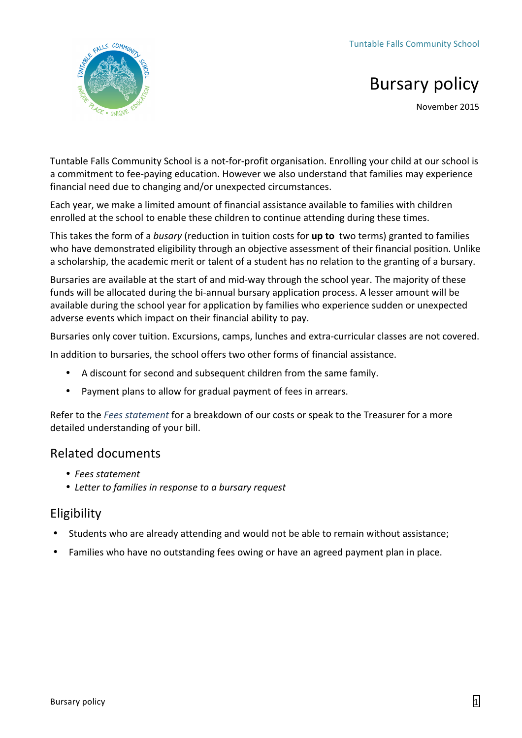

# **Bursary policy**

November 2015

Tuntable Falls Community School is a not-for-profit organisation. Enrolling your child at our school is a commitment to fee-paying education. However we also understand that families may experience financial need due to changing and/or unexpected circumstances.

Each year, we make a limited amount of financial assistance available to families with children enrolled at the school to enable these children to continue attending during these times.

This takes the form of a *busary* (reduction in tuition costs for **up to** two terms) granted to families who have demonstrated eligibility through an objective assessment of their financial position. Unlike a scholarship, the academic merit or talent of a student has no relation to the granting of a bursary.

Bursaries are available at the start of and mid-way through the school year. The majority of these funds will be allocated during the bi-annual bursary application process. A lesser amount will be available during the school year for application by families who experience sudden or unexpected adverse events which impact on their financial ability to pay.

Bursaries only cover tuition. Excursions, camps, lunches and extra-curricular classes are not covered.

In addition to bursaries, the school offers two other forms of financial assistance.

- A discount for second and subsequent children from the same family.
- Payment plans to allow for gradual payment of fees in arrears.

Refer to the *Fees statement* for a breakdown of our costs or speak to the Treasurer for a more detailed understanding of your bill.

### Related documents

- *Fees statement*
- Letter to families in response to a bursary request

# Eligibility

- Students who are already attending and would not be able to remain without assistance:
- Families who have no outstanding fees owing or have an agreed payment plan in place.